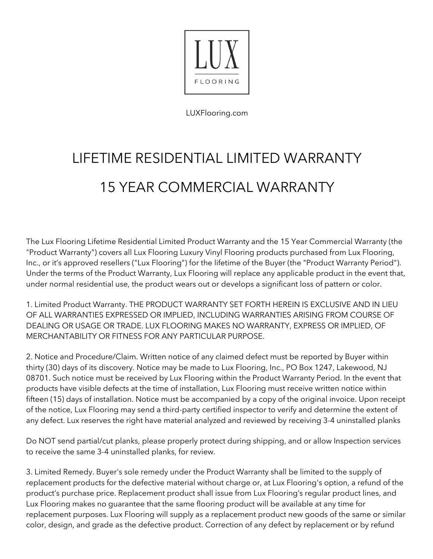

LUXFlooring.com

# LIFETIME RESIDENTIAL LIMITED WARRANTY 15 YEAR COMMERCIAL WARRANTY

The Lux Flooring Lifetime Residential Limited Product Warranty and the 15 Year Commercial Warranty (the "Product Warranty") covers all Lux Flooring Luxury Vinyl Flooring products purchased from Lux Flooring, Inc., or it's approved resellers ("Lux Flooring") for the lifetime of the Buyer (the "Product Warranty Period"). Under the terms of the Product Warranty, Lux Flooring will replace any applicable product in the event that, under normal residential use, the product wears out or develops a significant loss of pattern or color.

1. Limited Product Warranty. THE PRODUCT WARRANTY SET FORTH HEREIN IS EXCLUSIVE AND IN LIEU OF ALL WARRANTIES EXPRESSED OR IMPLIED, INCLUDING WARRANTIES ARISING FROM COURSE OF DEALING OR USAGE OR TRADE. LUX FLOORING MAKES NO WARRANTY, EXPRESS OR IMPLIED, OF MERCHANTABILITY OR FITNESS FOR ANY PARTICULAR PURPOSE.

2. Notice and Procedure/Claim. Written notice of any claimed defect must be reported by Buyer within thirty (30) days of its discovery. Notice may be made to Lux Flooring, Inc., PO Box 1247, Lakewood, NJ 08701. Such notice must be received by Lux Flooring within the Product Warranty Period. In the event that products have visible defects at the time of installation, Lux Flooring must receive written notice within fifteen (15) days of installation. Notice must be accompanied by a copy of the original invoice. Upon receipt of the notice, Lux Flooring may send a third-party certified inspector to verify and determine the extent of any defect. Lux reserves the right have material analyzed and reviewed by receiving 3-4 uninstalled planks

Do NOT send partial/cut planks, please properly protect during shipping, and or allow Inspection services to receive the same 3-4 uninstalled planks, for review.

3. Limited Remedy. Buyer's sole remedy under the Product Warranty shall be limited to the supply of replacement products for the defective material without charge or, at Lux Flooring's option, a refund of the product's purchase price. Replacement product shall issue from Lux Flooring's regular product lines, and Lux Flooring makes no guarantee that the same flooring product will be available at any time for replacement purposes. Lux Flooring will supply as a replacement product new goods of the same or similar color, design, and grade as the defective product. Correction of any defect by replacement or by refund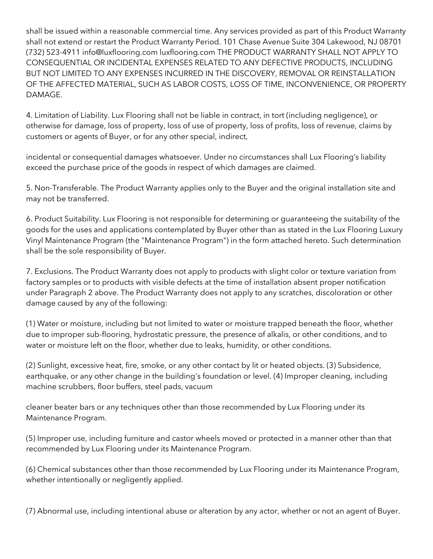shall be issued within a reasonable commercial time. Any services provided as part of this Product Warranty shall not extend or restart the Product Warranty Period. 101 Chase Avenue Suite 304 Lakewood, NJ 08701 (732) 523-4911 info@luxflooring.com luxflooring.com THE PRODUCT WARRANTY SHALL NOT APPLY TO CONSEQUENTIAL OR INCIDENTAL EXPENSES RELATED TO ANY DEFECTIVE PRODUCTS, INCLUDING BUT NOT LIMITED TO ANY EXPENSES INCURRED IN THE DISCOVERY, REMOVAL OR REINSTALLATION OF THE AFFECTED MATERIAL, SUCH AS LABOR COSTS, LOSS OF TIME, INCONVENIENCE, OR PROPERTY DAMAGE.

4. Limitation of Liability. Lux Flooring shall not be liable in contract, in tort (including negligence), or otherwise for damage, loss of property, loss of use of property, loss of profits, loss of revenue, claims by customers or agents of Buyer, or for any other special, indirect,

incidental or consequential damages whatsoever. Under no circumstances shall Lux Flooring's liability exceed the purchase price of the goods in respect of which damages are claimed.

5. Non-Transferable. The Product Warranty applies only to the Buyer and the original installation site and may not be transferred.

6. Product Suitability. Lux Flooring is not responsible for determining or guaranteeing the suitability of the goods for the uses and applications contemplated by Buyer other than as stated in the Lux Flooring Luxury Vinyl Maintenance Program (the "Maintenance Program") in the form attached hereto. Such determination shall be the sole responsibility of Buyer.

7. Exclusions. The Product Warranty does not apply to products with slight color or texture variation from factory samples or to products with visible defects at the time of installation absent proper notification under Paragraph 2 above. The Product Warranty does not apply to any scratches, discoloration or other damage caused by any of the following:

(1) Water or moisture, including but not limited to water or moisture trapped beneath the floor, whether due to improper sub-flooring, hydrostatic pressure, the presence of alkalis, or other conditions, and to water or moisture left on the floor, whether due to leaks, humidity, or other conditions.

(2) Sunlight, excessive heat, fire, smoke, or any other contact by lit or heated objects. (3) Subsidence, earthquake, or any other change in the building's foundation or level. (4) Improper cleaning, including machine scrubbers, floor buffers, steel pads, vacuum

cleaner beater bars or any techniques other than those recommended by Lux Flooring under its Maintenance Program.

(5) Improper use, including furniture and castor wheels moved or protected in a manner other than that recommended by Lux Flooring under its Maintenance Program.

(6) Chemical substances other than those recommended by Lux Flooring under its Maintenance Program, whether intentionally or negligently applied.

(7) Abnormal use, including intentional abuse or alteration by any actor, whether or not an agent of Buyer.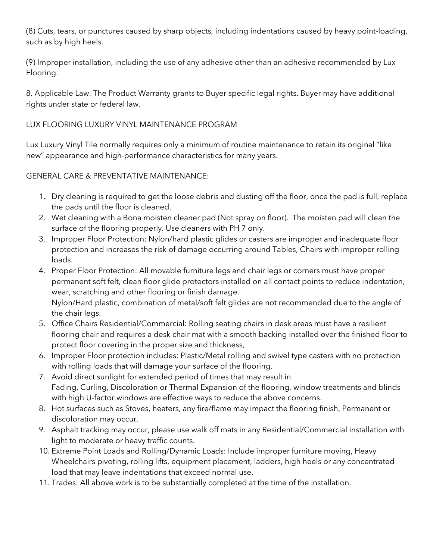(8) Cuts, tears, or punctures caused by sharp objects, including indentations caused by heavy point-loading, such as by high heels.

(9) Improper installation, including the use of any adhesive other than an adhesive recommended by Lux Flooring.

8. Applicable Law. The Product Warranty grants to Buyer specific legal rights. Buyer may have additional rights under state or federal law.

## LUX FLOORING LUXURY VINYL MAINTENANCE PROGRAM

Lux Luxury Vinyl Tile normally requires only a minimum of routine maintenance to retain its original "like new" appearance and high-performance characteristics for many years.

GENERAL CARE & PREVENTATIVE MAINTENANCE:

- 1. Dry cleaning is required to get the loose debris and dusting off the floor, once the pad is full, replace the pads until the floor is cleaned.
- 2. Wet cleaning with a Bona moisten cleaner pad (Not spray on floor). The moisten pad will clean the surface of the flooring properly. Use cleaners with PH 7 only.
- 3. Improper Floor Protection: Nylon/hard plastic glides or casters are improper and inadequate floor protection and increases the risk of damage occurring around Tables, Chairs with improper rolling loads.
- 4. Proper Floor Protection: All movable furniture legs and chair legs or corners must have proper permanent soft felt, clean floor glide protectors installed on all contact points to reduce indentation, wear, scratching and other flooring or finish damage. Nylon/Hard plastic, combination of metal/soft felt glides are not recommended due to the angle of the chair legs.
- 5. Office Chairs Residential/Commercial: Rolling seating chairs in desk areas must have a resilient flooring chair and requires a desk chair mat with a smooth backing installed over the finished floor to protect floor covering in the proper size and thickness,
- 6. Improper Floor protection includes: Plastic/Metal rolling and swivel type casters with no protection with rolling loads that will damage your surface of the flooring.
- 7. Avoid direct sunlight for extended period of times that may result in Fading, Curling, Discoloration or Thermal Expansion of the flooring, window treatments and blinds with high U-factor windows are effective ways to reduce the above concerns.
- 8. Hot surfaces such as Stoves, heaters, any fire/flame may impact the flooring finish, Permanent or discoloration may occur.
- 9. Asphalt tracking may occur, please use walk off mats in any Residential/Commercial installation with light to moderate or heavy traffic counts.
- 10. Extreme Point Loads and Rolling/Dynamic Loads: Include improper furniture moving, Heavy Wheelchairs pivoting, rolling lifts, equipment placement, ladders, high heels or any concentrated load that may leave indentations that exceed normal use.
- 11. Trades: All above work is to be substantially completed at the time of the installation.